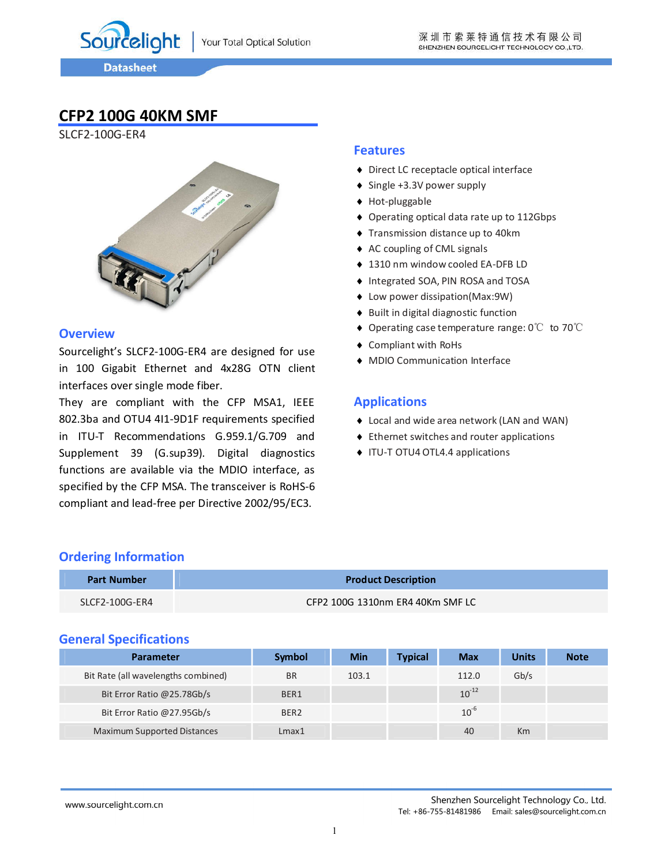Sourcelight

# **CFP2 100G 40KM SMF**

SLCF2-100G-ER4



#### **Overview**

Sourcelight's SLCF2-100G-ER4 are designed for use in 100 Gigabit Ethernet and 4x28G OTN client interfaces over single mode fiber.

They are compliant with the CFP MSA1, IEEE 802.3ba and OTU4 4I1-9D1F requirements specified in ITU-T Recommendations G.959.1/G.709 and Supplement 39 (G.sup39). Digital diagnostics functions are available via the MDIO interface, as specified by the CFP MSA. The transceiver is RoHS-6 compliant and lead-free per Directive 2002/95/EC3.

#### **Features**

- ◆ Direct LC receptacle optical interface
- ◆ Single +3.3V power supply
- ◆ Hot-pluggable
- ◆ Operating optical data rate up to 112Gbps
- ◆ Transmission distance up to 40km
- ◆ AC coupling of CML signals
- ◆ 1310 nm window cooled EA-DFB LD
- ◆ Integrated SOA, PIN ROSA and TOSA
- ◆ Low power dissipation(Max:9W)
- ◆ Built in digital diagnostic function
- ◆ Operating case temperature range: 0°C to 70°C
- Compliant with RoHs
- MDIO Communication Interface

#### **Applications**

- ◆ Local and wide area network (LAN and WAN)
- ◆ Ethernet switches and router applications
- ◆ ITU-T OTU4 OTL4.4 applications

| <b>Part Number</b> | <b>Product Description</b>       |
|--------------------|----------------------------------|
| SLCF2-100G-ER4     | CFP2 100G 1310nm ER4 40Km SMF LC |

#### **General Specifications**

**Ordering Information**

| Parameter                           | Symbol           | <b>Min</b> | <b>Typical</b> | <b>Max</b> | <b>Units</b> | <b>Note</b> |
|-------------------------------------|------------------|------------|----------------|------------|--------------|-------------|
| Bit Rate (all wavelengths combined) | <b>BR</b>        | 103.1      |                | 112.0      | Gb/s         |             |
| Bit Error Ratio @25.78Gb/s          | BER1             |            |                | $10^{-12}$ |              |             |
| Bit Error Ratio @27.95Gb/s          | BER <sub>2</sub> |            |                | $10^{-6}$  |              |             |
| <b>Maximum Supported Distances</b>  | Lmax1            |            |                | 40         | Km           |             |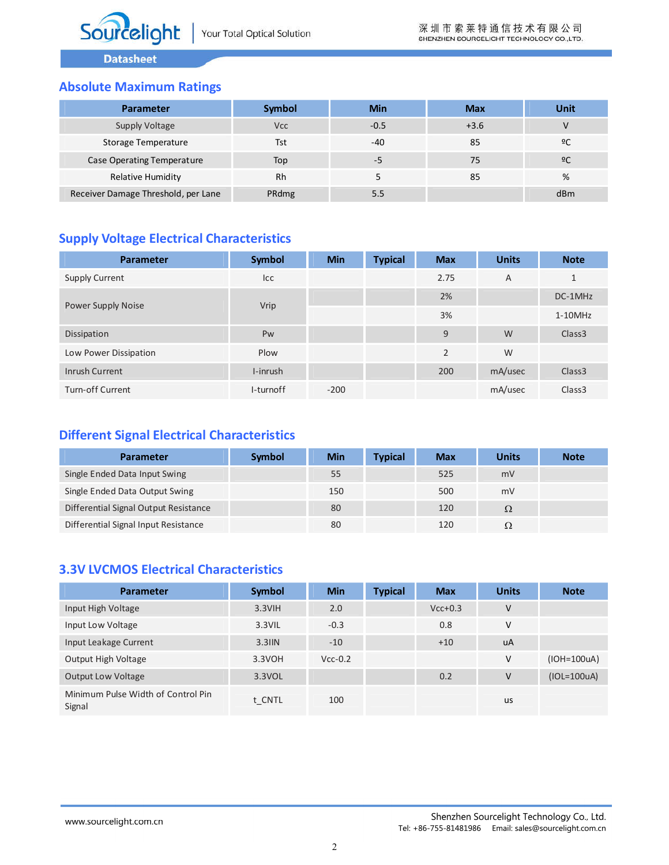### **Absolute Maximum Ratings**

| <b>Parameter</b>                    | Symbol     | Min    | <b>Max</b> | Unit |
|-------------------------------------|------------|--------|------------|------|
| Supply Voltage                      | <b>Vcc</b> | $-0.5$ | $+3.6$     |      |
| Storage Temperature                 | Tst        | $-40$  | 85         | 2C   |
| Case Operating Temperature          | Top        | -5     | 75         | 2C   |
| <b>Relative Humidity</b>            | Rh         |        | 85         | %    |
| Receiver Damage Threshold, per Lane | PRdmg      | 5.5    |            | dBm  |

# **Supply Voltage Electrical Characteristics**

| <b>Parameter</b>      | Symbol     | <b>Min</b> | <b>Typical</b> | <b>Max</b>     | <b>Units</b> | <b>Note</b>        |
|-----------------------|------------|------------|----------------|----------------|--------------|--------------------|
| <b>Supply Current</b> | <b>Icc</b> |            |                | 2.75           | A            | $\mathbf{1}$       |
|                       |            |            |                | 2%             |              | DC-1MHz            |
| Power Supply Noise    | Vrip       |            |                | 3%             |              | $1-10$ MHz         |
| Dissipation           | Pw         |            |                | 9              | W            | Class <sub>3</sub> |
| Low Power Dissipation | Plow       |            |                | $\overline{2}$ | W            |                    |
| <b>Inrush Current</b> | I-inrush   |            |                | 200            | mA/usec      | Class <sub>3</sub> |
| Turn-off Current      | I-turnoff  | $-200$     |                |                | mA/usec      | Class <sub>3</sub> |

# **Different Signal Electrical Characteristics**

| <b>Parameter</b>                      | Symbol | Min | <b>Typical</b> | <b>Max</b> | <b>Units</b> | <b>Note</b> |
|---------------------------------------|--------|-----|----------------|------------|--------------|-------------|
| Single Ended Data Input Swing         |        | 55  |                | 525        | mV           |             |
| Single Ended Data Output Swing        |        | 150 |                | 500        | mV           |             |
| Differential Signal Output Resistance |        | 80  |                | 120        | $\Omega$     |             |
| Differential Signal Input Resistance  |        | 80  |                | 120        |              |             |

### **3.3V LVCMOS Electrical Characteristics**

| <b>Parameter</b>                             | Symbol    | <b>Min</b> | <b>Typical</b> | <b>Max</b> | <b>Units</b> | <b>Note</b>   |
|----------------------------------------------|-----------|------------|----------------|------------|--------------|---------------|
| Input High Voltage                           | $3.3V$ IH | 2.0        |                | $Vcc+0.3$  | V            |               |
| Input Low Voltage                            | 3.3VIL    | $-0.3$     |                | 0.8        | v            |               |
| Input Leakage Current                        | $3.3$ IIN | $-10$      |                | $+10$      | uA           |               |
| Output High Voltage                          | 3.3VOH    | $Vcc-0.2$  |                |            | V            | $(IOH=100uA)$ |
| <b>Output Low Voltage</b>                    | 3.3VOL    |            |                | 0.2        | V            | $(IOL=100uA)$ |
| Minimum Pulse Width of Control Pin<br>Signal | t CNTL    | 100        |                |            | <b>us</b>    |               |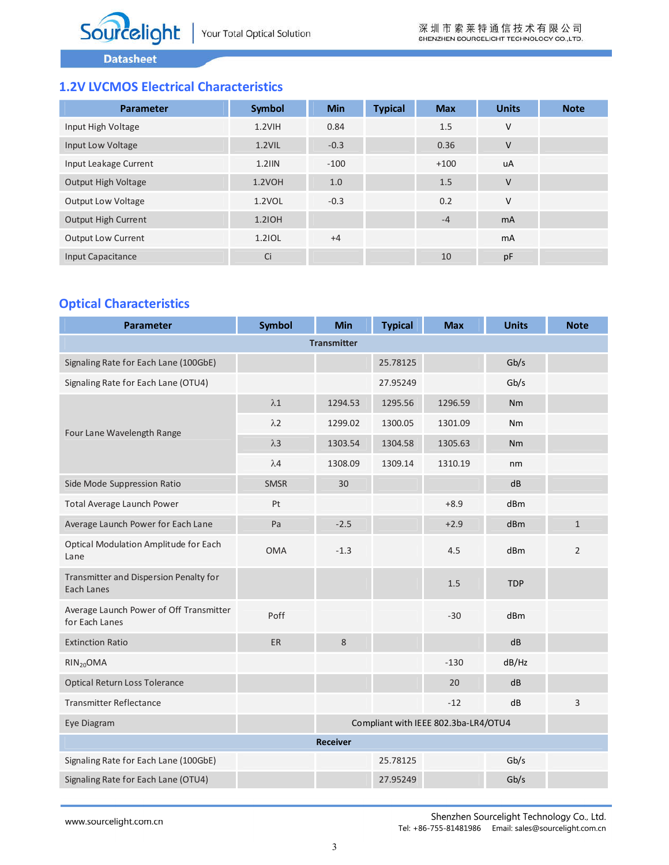# **1.2V LVCMOS Electrical Characteristics**

| Parameter                 | <b>Symbol</b> | <b>Min</b> | <b>Typical</b> | <b>Max</b> | <b>Units</b>   | <b>Note</b> |
|---------------------------|---------------|------------|----------------|------------|----------------|-------------|
| Input High Voltage        | $1.2V$ IH     | 0.84       |                | 1.5        | ٧              |             |
| Input Low Voltage         | $1.2$ VIL     | $-0.3$     |                | 0.36       | V              |             |
| Input Leakage Current     | $1.2$ IIN     | $-100$     |                | $+100$     | uA             |             |
| Output High Voltage       | 1.2VOH        | 1.0        |                | 1.5        | V              |             |
| Output Low Voltage        | 1.2VOL        | $-0.3$     |                | 0.2        | V              |             |
| Output High Current       | 1.21OH        |            |                | $-4$       | <b>mA</b>      |             |
| <b>Output Low Current</b> | 1.21OL        | $+4$       |                |            | <sub>m</sub> A |             |
| Input Capacitance         | Ci            |            |                | 10         | pF             |             |

# **Optical Characteristics**

| <b>Parameter</b>                                          | <b>Symbol</b>                        | <b>Min</b>         | <b>Typical</b> | <b>Max</b> | <b>Units</b> | <b>Note</b>    |
|-----------------------------------------------------------|--------------------------------------|--------------------|----------------|------------|--------------|----------------|
|                                                           |                                      | <b>Transmitter</b> |                |            |              |                |
| Signaling Rate for Each Lane (100GbE)                     |                                      |                    | 25.78125       |            | Gb/s         |                |
| Signaling Rate for Each Lane (OTU4)                       |                                      |                    | 27.95249       |            | Gb/s         |                |
|                                                           | $\lambda1$                           | 1294.53            | 1295.56        | 1296.59    | <b>Nm</b>    |                |
| Four Lane Wavelength Range                                | $\lambda2$                           | 1299.02            | 1300.05        | 1301.09    | Nm           |                |
|                                                           | $\lambda$ 3                          | 1303.54            | 1304.58        | 1305.63    | <b>Nm</b>    |                |
|                                                           | $\lambda$ 4                          | 1308.09            | 1309.14        | 1310.19    | nm           |                |
| Side Mode Suppression Ratio                               | <b>SMSR</b>                          | 30                 |                |            | dB           |                |
| Total Average Launch Power                                | Pt                                   |                    |                | $+8.9$     | dBm          |                |
| Average Launch Power for Each Lane                        | Pa                                   | $-2.5$             |                | $+2.9$     | dBm          | $\mathbf{1}$   |
| Optical Modulation Amplitude for Each<br>Lane             | <b>OMA</b>                           | $-1.3$             |                | 4.5        | dBm          | $\overline{2}$ |
| Transmitter and Dispersion Penalty for<br>Each Lanes      |                                      |                    |                | 1.5        | <b>TDP</b>   |                |
| Average Launch Power of Off Transmitter<br>for Each Lanes | Poff                                 |                    |                | $-30$      | dBm          |                |
| <b>Extinction Ratio</b>                                   | ER                                   | 8                  |                |            | dB           |                |
| $RIN_{20}OMA$                                             |                                      |                    |                | $-130$     | dB/Hz        |                |
| Optical Return Loss Tolerance                             |                                      |                    |                | 20         | dB           |                |
| <b>Transmitter Reflectance</b>                            |                                      |                    |                | $-12$      | dB           | 3              |
| Eye Diagram                                               | Compliant with IEEE 802.3ba-LR4/OTU4 |                    |                |            |              |                |
|                                                           |                                      | <b>Receiver</b>    |                |            |              |                |
| Signaling Rate for Each Lane (100GbE)                     |                                      |                    | 25.78125       |            | Gb/s         |                |
| Signaling Rate for Each Lane (OTU4)                       |                                      |                    | 27.95249       |            | Gb/s         |                |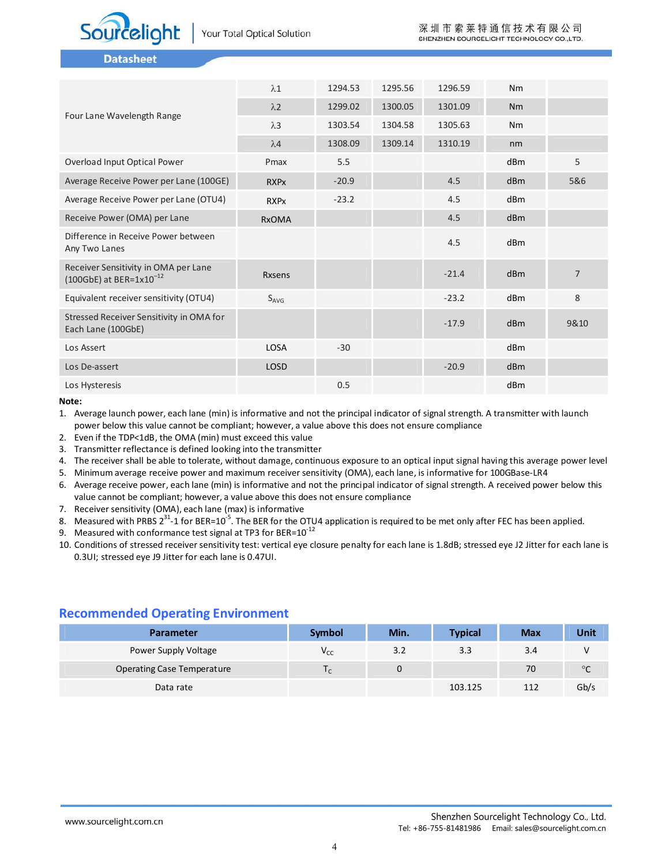

|                                                                       | $\lambda$ 1   | 1294.53 | 1295.56 | 1296.59 | Nm              |                |
|-----------------------------------------------------------------------|---------------|---------|---------|---------|-----------------|----------------|
|                                                                       | $\lambda$ 2   | 1299.02 | 1300.05 | 1301.09 | <b>Nm</b>       |                |
| Four Lane Wavelength Range                                            | $\lambda$ 3   | 1303.54 | 1304.58 | 1305.63 | Nm              |                |
|                                                                       | $\lambda$ 4   | 1308.09 | 1309.14 | 1310.19 | nm              |                |
| Overload Input Optical Power                                          | Pmax          | 5.5     |         |         | dBm             | 5              |
| Average Receive Power per Lane (100GE)                                | <b>RXPx</b>   | $-20.9$ |         | 4.5     | dBm             | 5&6            |
| Average Receive Power per Lane (OTU4)                                 | <b>RXPx</b>   | $-23.2$ |         | 4.5     | dBm             |                |
| Receive Power (OMA) per Lane                                          | <b>RxOMA</b>  |         |         | 4.5     | d <sub>Bm</sub> |                |
| Difference in Receive Power between<br>Any Two Lanes                  |               |         |         | 4.5     | d <sub>Bm</sub> |                |
| Receiver Sensitivity in OMA per Lane<br>(100GbE) at BER= $1x10^{-12}$ | <b>Rxsens</b> |         |         | $-21.4$ | dBm             | $\overline{7}$ |
| Equivalent receiver sensitivity (OTU4)                                | $S_{AVG}$     |         |         | $-23.2$ | dBm             | 8              |
| Stressed Receiver Sensitivity in OMA for<br>Each Lane (100GbE)        |               |         |         | $-17.9$ | dBm             | 9&10           |
| Los Assert                                                            | LOSA          | $-30$   |         |         | dBm             |                |
| Los De-assert                                                         | LOSD          |         |         | $-20.9$ | d <sub>Bm</sub> |                |
| Los Hysteresis                                                        |               | 0.5     |         |         | dBm             |                |

**Note:**

1. Average launch power, each lane (min) is informative and not the principal indicator of signal strength. A transmitter with launch power below this value cannot be compliant; however, a value above this does not ensure compliance

- 2. Even if the TDP<1dB, the OMA (min) must exceed this value
- 3. Transmitter reflectance is defined looking into the transmitter
- 4. The receiver shall be able to tolerate, without damage, continuous exposure to an optical input signal having this average power level
- 5. Minimum average receive power and maximum receiver sensitivity (OMA), each lane, is informative for 100GBase-LR4
- 6. Average receive power, each lane (min) is informative and not the principal indicator of signal strength. A received power below this value cannot be compliant; however, a value above this does not ensure compliance
- 7. Receiver sensitivity (OMA), each lane (max) is informative
- 8. Measured with PRBS 2<sup>31</sup>-1 for BER=10<sup>-5</sup>. The BER for the OTU4 application is required to be met only after FEC has been applied.
- 9. Measured with conformance test signal at TP3 for BER= $10^{-12}$
- 10. Conditions of stressed receiver sensitivity test: vertical eye closure penalty for each lane is 1.8dB; stressed eye J2 Jitter for each lane is 0.3UI; stressed eye J9 Jitter for each lane is 0.47UI.

#### **Recommended Operating Environment**

| <b>Parameter</b>           | <b>Symbol</b> | Min. | <b>Typical</b> | <b>Max</b> | Unit         |
|----------------------------|---------------|------|----------------|------------|--------------|
| Power Supply Voltage       | $V_{CC}$      | 3.2  | 3.3            | 3.4        | v            |
| Operating Case Temperature |               | U    |                | 70         | $^{\circ}$ C |
| Data rate                  |               |      | 103.125        | 112        | Gb/s         |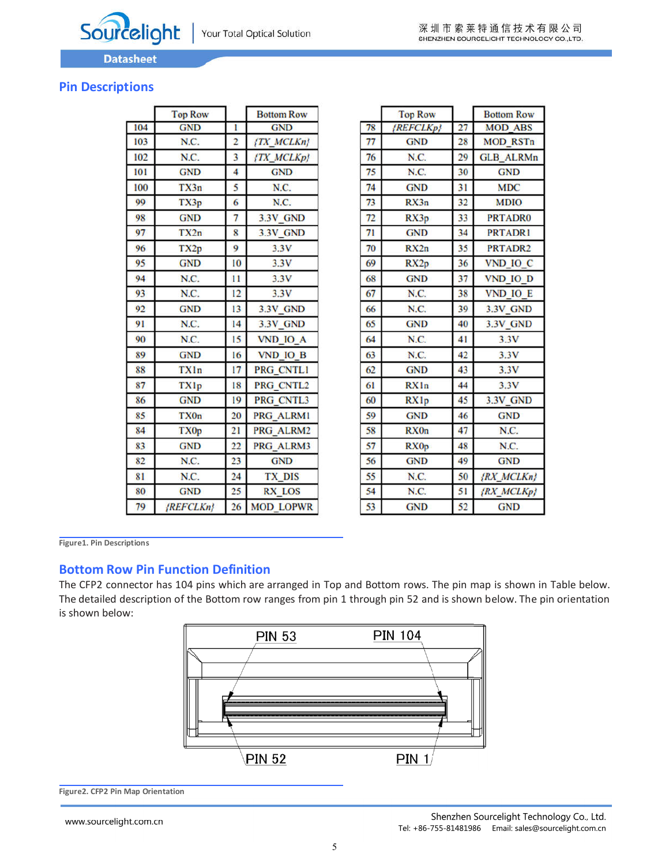

### **Pin Descriptions**

|     | <b>Top Row</b> |                         | <b>Bottom Row</b> |
|-----|----------------|-------------------------|-------------------|
| 104 | <b>GND</b>     | ı                       | <b>GND</b>        |
| 103 | N.C.           | $\overline{2}$          | <b>{TX MCLKn}</b> |
| 102 | N.C.           | $\overline{\mathbf{3}}$ | [TX_MCLKp]        |
| 101 | <b>GND</b>     | 4                       | <b>GND</b>        |
| 100 | TX3n           | 5                       | N.C.              |
| 99  | TX3p           | 6                       | N.C.              |
| 98  | <b>GND</b>     | 7                       | 3.3V GND          |
| 97  | TX2n           | 8                       | 3.3V GND          |
| 96  | TX2p           | 9                       | 3.3V              |
| 95  | <b>GND</b>     | 10                      | 3.3V              |
| 94  | N.C.           | $\overline{11}$         | 3.3V              |
| 93  | N.C.           | 12                      | 3.3V              |
| 92  | <b>GND</b>     | 13                      | 3.3V GND          |
| 91  | N.C.           | 14                      | 3.3V GND          |
| 90  | N.C.           | 15                      | <b>VND IO A</b>   |
| 89  | <b>GND</b>     | 16                      | VND IO B          |
| 88  | <b>TXIn</b>    | 17                      | PRG CNTL1         |
| 87  | TXIp           | 18                      | PRG CNTL2         |
| 86  | <b>GND</b>     | 19                      | PRG CNTL3         |
| 85  | <b>TX0n</b>    | 20                      | PRG ALRM1         |
| 84  | <b>TX0p</b>    | 21                      | PRG ALRM2         |
| 83  | <b>GND</b>     | 22                      | PRG ALRM3         |
| 82  | N.C.           | 23                      | <b>GND</b>        |
| 81  | N.C.           | 24                      | <b>TX DIS</b>     |
| 80  | <b>GND</b>     | 25                      | <b>RX LOS</b>     |
| 79  | ${REFCLKn}$    | 26                      | <b>MOD LOPWR</b>  |

|    | <b>Top Row</b>   |    | <b>Bottom Row</b> |
|----|------------------|----|-------------------|
| 78 | {REFCLKp}        | 27 | <b>MOD ABS</b>    |
| 77 | <b>GND</b>       | 28 | <b>MOD RSTn</b>   |
| 76 | N.C.             | 29 | <b>GLB ALRMn</b>  |
| 75 | N.C.             | 30 | <b>GND</b>        |
| 74 | <b>GND</b>       | 31 | <b>MDC</b>        |
| 73 | RX3n             | 32 | <b>MDIO</b>       |
| 72 | RX3p             | 33 | <b>PRTADRO</b>    |
| 71 | <b>GND</b>       | 34 | <b>PRTADRI</b>    |
| 70 | RX2n             | 35 | <b>PRTADR2</b>    |
| 69 | RX2p             | 36 | VND IO C          |
| 68 | <b>GND</b>       | 37 | <b>VND IO D</b>   |
| 67 | N.C.             | 38 | <b>VND IO E</b>   |
| 66 | N.C.             | 39 | 3.3V GND          |
| 65 | <b>GND</b>       | 40 | 3.3V GND          |
| 64 | N.C.             | 41 | 3.3V              |
| 63 | N.C.             | 42 | 3.3V              |
| 62 | <b>GND</b>       | 43 | 3.3V              |
| 61 | RXIn             | 44 | 3.3V              |
| 60 | RXIp             | 45 | 3.3V GND          |
| 59 | <b>GND</b>       | 46 | <b>GND</b>        |
| 58 | <b>RX0n</b>      | 47 | N.C.              |
| 57 | RX <sub>Op</sub> | 48 | N.C.              |
| 56 | <b>GND</b>       | 49 | <b>GND</b>        |
| 55 | N.C.             | 50 | {RX MCLKn}        |
| 54 | N.C.             | 51 | {RX MCLKp}        |
| 53 | <b>GND</b>       | 52 | <b>GND</b>        |

**Figure1. Pin Descriptions**

#### **Bottom Row Pin Function Definition**

The CFP2 connector has 104 pins which are arranged in Top and Bottom rows. The pin map is shown in Table below. The detailed description of the Bottom row ranges from pin 1 through pin 52 and is shown below. The pin orientation is shown below:



**Figure2. CFP2 Pin Map Orientation**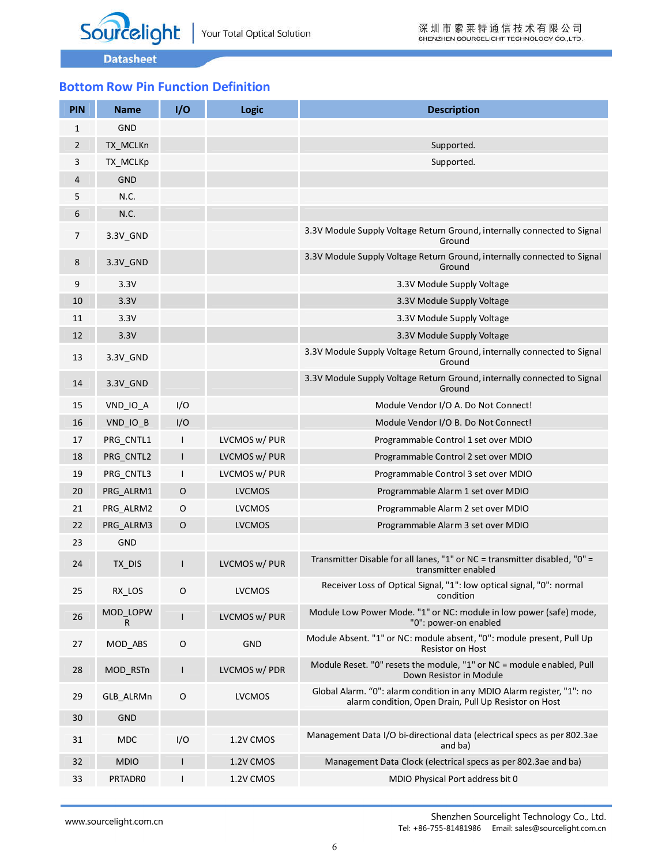# **Bottom Row Pin Function Definition**

| <b>PIN</b>     | <b>Name</b>   | 1/0          | <b>Logic</b>  | <b>Description</b>                                                                                                              |
|----------------|---------------|--------------|---------------|---------------------------------------------------------------------------------------------------------------------------------|
| 1              | <b>GND</b>    |              |               |                                                                                                                                 |
| $\overline{2}$ | TX_MCLKn      |              |               | Supported.                                                                                                                      |
| 3              | TX_MCLKp      |              |               | Supported.                                                                                                                      |
| 4              | <b>GND</b>    |              |               |                                                                                                                                 |
| 5              | N.C.          |              |               |                                                                                                                                 |
| 6              | N.C.          |              |               |                                                                                                                                 |
| 7              | 3.3V_GND      |              |               | 3.3V Module Supply Voltage Return Ground, internally connected to Signal<br>Ground                                              |
| 8              | 3.3V_GND      |              |               | 3.3V Module Supply Voltage Return Ground, internally connected to Signal<br>Ground                                              |
| 9              | 3.3V          |              |               | 3.3V Module Supply Voltage                                                                                                      |
| 10             | 3.3V          |              |               | 3.3V Module Supply Voltage                                                                                                      |
| 11             | 3.3V          |              |               | 3.3V Module Supply Voltage                                                                                                      |
| 12             | 3.3V          |              |               | 3.3V Module Supply Voltage                                                                                                      |
| 13             | 3.3V_GND      |              |               | 3.3V Module Supply Voltage Return Ground, internally connected to Signal<br>Ground                                              |
| 14             | 3.3V_GND      |              |               | 3.3V Module Supply Voltage Return Ground, internally connected to Signal<br>Ground                                              |
| 15             | VND IO A      | I/O          |               | Module Vendor I/O A. Do Not Connect!                                                                                            |
| 16             | VND_IO_B      | I/O          |               | Module Vendor I/O B. Do Not Connect!                                                                                            |
| 17             | PRG_CNTL1     | L            | LVCMOS w/ PUR | Programmable Control 1 set over MDIO                                                                                            |
| 18             | PRG CNTL2     | L            | LVCMOS w/ PUR | Programmable Control 2 set over MDIO                                                                                            |
| 19             | PRG CNTL3     | L            | LVCMOS w/ PUR | Programmable Control 3 set over MDIO                                                                                            |
| 20             | PRG ALRM1     | O            | <b>LVCMOS</b> | Programmable Alarm 1 set over MDIO                                                                                              |
| 21             | PRG ALRM2     | O            | <b>LVCMOS</b> | Programmable Alarm 2 set over MDIO                                                                                              |
| 22             | PRG ALRM3     | $\circ$      | <b>LVCMOS</b> | Programmable Alarm 3 set over MDIO                                                                                              |
| 23             | <b>GND</b>    |              |               |                                                                                                                                 |
| 24             | TX DIS        | $\mathsf{I}$ | LVCMOS w/ PUR | Transmitter Disable for all lanes, "1" or NC = transmitter disabled, "0" =<br>transmitter enabled                               |
| 25             | RX_LOS        | O            | <b>LVCMOS</b> | Receiver Loss of Optical Signal, "1": low optical signal, "0": normal<br>condition                                              |
| 26             | MOD LOPW<br>R | L            | LVCMOS w/ PUR | Module Low Power Mode. "1" or NC: module in low power (safe) mode,<br>"0": power-on enabled                                     |
| 27             | MOD ABS       | O            | <b>GND</b>    | Module Absent. "1" or NC: module absent, "0": module present, Pull Up<br><b>Resistor on Host</b>                                |
| 28             | MOD_RSTn      | L            | LVCMOS w/ PDR | Module Reset. "0" resets the module, "1" or NC = module enabled, Pull<br>Down Resistor in Module                                |
| 29             | GLB_ALRMn     | O            | <b>LVCMOS</b> | Global Alarm. "0": alarm condition in any MDIO Alarm register, "1": no<br>alarm condition, Open Drain, Pull Up Resistor on Host |
| 30             | <b>GND</b>    |              |               |                                                                                                                                 |
| 31             | <b>MDC</b>    | I/O          | 1.2V CMOS     | Management Data I/O bi-directional data (electrical specs as per 802.3ae<br>and ba)                                             |
| 32             | <b>MDIO</b>   | L            | 1.2V CMOS     | Management Data Clock (electrical specs as per 802.3ae and ba)                                                                  |
| 33             | PRTADR0       | L            | 1.2V CMOS     | MDIO Physical Port address bit 0                                                                                                |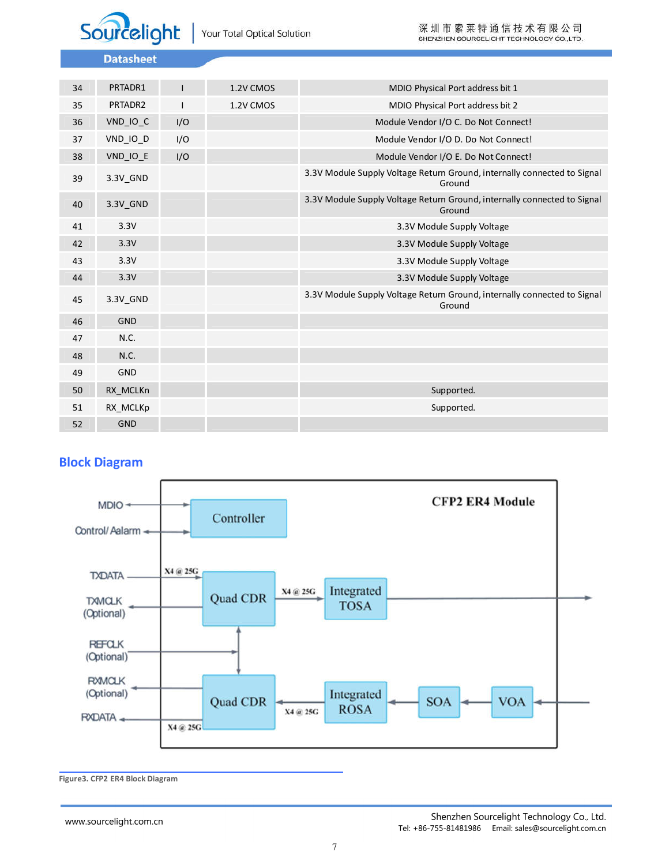

| 34 | PRTADR1    | I   | 1.2V CMOS | MDIO Physical Port address bit 1                                                   |
|----|------------|-----|-----------|------------------------------------------------------------------------------------|
| 35 | PRTADR2    |     | 1.2V CMOS | MDIO Physical Port address bit 2                                                   |
| 36 | VND_IO_C   | I/O |           | Module Vendor I/O C. Do Not Connect!                                               |
| 37 | VND_IO_D   | I/O |           | Module Vendor I/O D. Do Not Connect!                                               |
| 38 | VND IO E   | I/O |           | Module Vendor I/O E. Do Not Connect!                                               |
| 39 | 3.3V GND   |     |           | 3.3V Module Supply Voltage Return Ground, internally connected to Signal<br>Ground |
| 40 | 3.3V_GND   |     |           | 3.3V Module Supply Voltage Return Ground, internally connected to Signal<br>Ground |
| 41 | 3.3V       |     |           | 3.3V Module Supply Voltage                                                         |
| 42 | 3.3V       |     |           | 3.3V Module Supply Voltage                                                         |
| 43 | 3.3V       |     |           | 3.3V Module Supply Voltage                                                         |
| 44 | 3.3V       |     |           | 3.3V Module Supply Voltage                                                         |
| 45 | 3.3V_GND   |     |           | 3.3V Module Supply Voltage Return Ground, internally connected to Signal<br>Ground |
| 46 | <b>GND</b> |     |           |                                                                                    |
| 47 | N.C.       |     |           |                                                                                    |
| 48 | N.C.       |     |           |                                                                                    |
| 49 | GND        |     |           |                                                                                    |
| 50 | RX_MCLKn   |     |           | Supported.                                                                         |
| 51 | RX MCLKp   |     |           | Supported.                                                                         |
| 52 | <b>GND</b> |     |           |                                                                                    |

### **Block Diagram**



**Figure3. CFP2 ER4 Block Diagram**

www.sourcelight.com.cn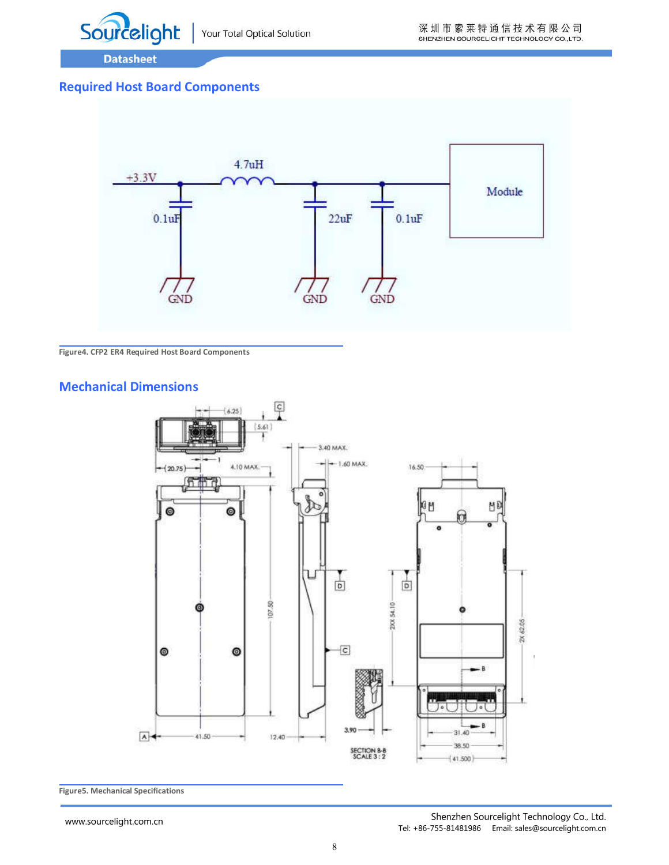

### **Required Host Board Components**



#### **Figure4. CFP2 ER4 Required Host Board Components**

#### **Mechanical Dimensions**



**Figure5. Mechanical Specifications**

www.sourcelight.com.cn